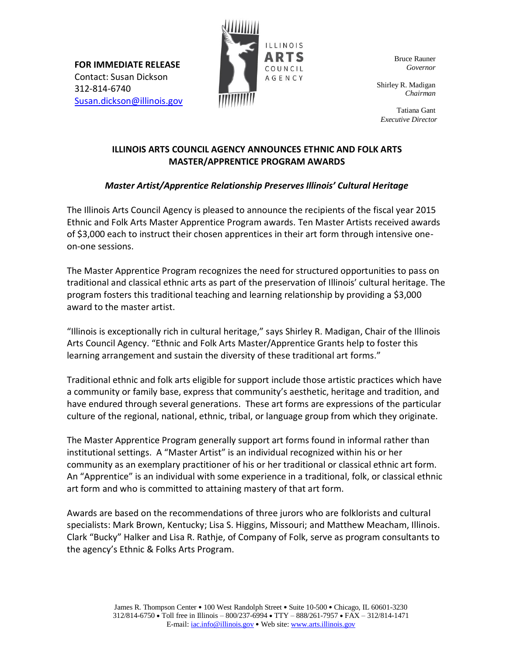**FOR IMMEDIATE RELEASE** Contact: Susan Dickson 312-814-6740 [Susan.dickson@illinois.gov](mailto:Susan.dickson@illinois.gov)



Bruce Rauner *Governor*

Shirley R. Madigan *Chairman*

Tatiana Gant *Executive Director*

## **ILLINOIS ARTS COUNCIL AGENCY ANNOUNCES ETHNIC AND FOLK ARTS MASTER/APPRENTICE PROGRAM AWARDS**

## *Master Artist/Apprentice Relationship Preserves Illinois' Cultural Heritage*

The Illinois Arts Council Agency is pleased to announce the recipients of the fiscal year 2015 Ethnic and Folk Arts Master Apprentice Program awards. Ten Master Artists received awards of \$3,000 each to instruct their chosen apprentices in their art form through intensive oneon-one sessions.

The Master Apprentice Program recognizes the need for structured opportunities to pass on traditional and classical ethnic arts as part of the preservation of Illinois' cultural heritage. The program fosters this traditional teaching and learning relationship by providing a \$3,000 award to the master artist.

"Illinois is exceptionally rich in cultural heritage," says Shirley R. Madigan, Chair of the Illinois Arts Council Agency. "Ethnic and Folk Arts Master/Apprentice Grants help to foster this learning arrangement and sustain the diversity of these traditional art forms."

Traditional ethnic and folk arts eligible for support include those artistic practices which have a community or family base, express that community's aesthetic, heritage and tradition, and have endured through several generations. These art forms are expressions of the particular culture of the regional, national, ethnic, tribal, or language group from which they originate.

The Master Apprentice Program generally support art forms found in informal rather than institutional settings. A "Master Artist" is an individual recognized within his or her community as an exemplary practitioner of his or her traditional or classical ethnic art form. An "Apprentice" is an individual with some experience in a traditional, folk, or classical ethnic art form and who is committed to attaining mastery of that art form.

Awards are based on the recommendations of three jurors who are folklorists and cultural specialists: Mark Brown, Kentucky; Lisa S. Higgins, Missouri; and Matthew Meacham, Illinois. Clark "Bucky" Halker and Lisa R. Rathje, of Company of Folk, serve as program consultants to the agency's Ethnic & Folks Arts Program.